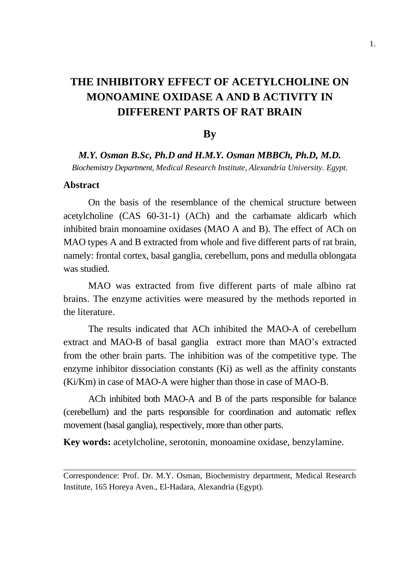# **THE INHIBITORY EFFECT OF ACETYLCHOLINE ON MONOAMINE OXIDASE A AND B ACTIVITY IN DIFFERENT PARTS OF RAT BRAIN**

### **By**

*M.Y. Osman B.Sc, Ph.D and H.M.Y. Osman MBBCh, Ph.D, M.D.*

*Biochemistry Department, Medical Research Institute, Alexandria University. Egypt.* 

#### **Abstract**

On the basis of the resemblance of the chemical structure between acetylcholine (CAS 60-31-1) (ACh) and the carbamate aldicarb which inhibited brain monoamine oxidases (MAO A and B). The effect of ACh on MAO types A and B extracted from whole and five different parts of rat brain, namely: frontal cortex, basal ganglia, cerebellum, pons and medulla oblongata was studied.

MAO was extracted from five different parts of male albino rat brains. The enzyme activities were measured by the methods reported in the literature.

The results indicated that ACh inhibited the MAO-A of cerebellum extract and MAO-B of basal ganglia extract more than MAO's extracted from the other brain parts. The inhibition was of the competitive type. The enzyme inhibitor dissociation constants (Ki) as well as the affinity constants (Ki/Km) in case of MAO-A were higher than those in case of MAO-B.

ACh inhibited both MAO-A and B of the parts responsible for balance (cerebellum) and the parts responsible for coordination and automatic reflex movement (basal ganglia), respectively, more than other parts.

**Key words:** acetylcholine, serotonin, monoamine oxidase, benzylamine.

Correspondence: Prof. Dr. M.Y. Osman, Biochemistry department, Medical Research Institute, 165 Horeya Aven., El-Hadara, Alexandria (Egypt).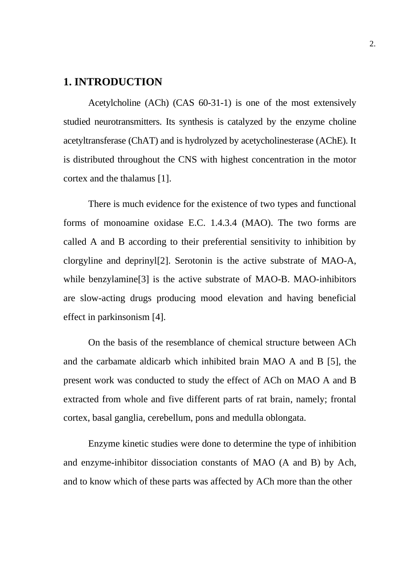### **1. INTRODUCTION**

Acetylcholine (ACh) (CAS 60-31-1) is one of the most extensively studied neurotransmitters. Its synthesis is catalyzed by the enzyme choline acetyltransferase (ChAT) and is hydrolyzed by acetycholinesterase (AChE). It is distributed throughout the CNS with highest concentration in the motor cortex and the thalamus [1].

There is much evidence for the existence of two types and functional forms of monoamine oxidase E.C. 1.4.3.4 (MAO). The two forms are called A and B according to their preferential sensitivity to inhibition by clorgyline and deprinyl[2]. Serotonin is the active substrate of MAO-A, while benzylamine<sup>[3]</sup> is the active substrate of MAO-B. MAO-inhibitors are slow-acting drugs producing mood elevation and having beneficial effect in parkinsonism [4].

On the basis of the resemblance of chemical structure between ACh and the carbamate aldicarb which inhibited brain MAO A and B [5], the present work was conducted to study the effect of ACh on MAO A and B extracted from whole and five different parts of rat brain, namely; frontal cortex, basal ganglia, cerebellum, pons and medulla oblongata.

Enzyme kinetic studies were done to determine the type of inhibition and enzyme-inhibitor dissociation constants of MAO (A and B) by Ach, and to know which of these parts was affected by ACh more than the other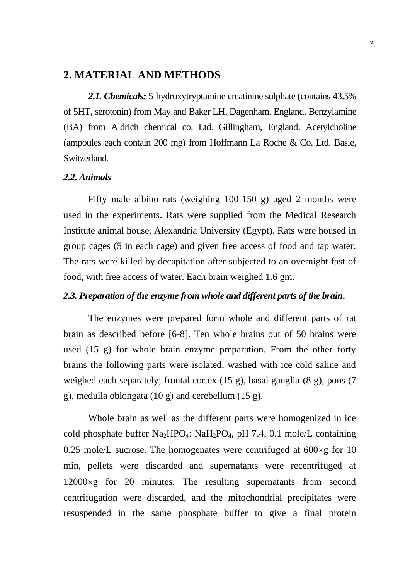#### **2. MATERIAL AND METHODS**

*2.1. Chemicals:* 5-hydroxytryptamine creatinine sulphate (contains 43.5% of 5HT, serotonin) from May and Baker LH, Dagenham, England. Benzylamine (BA) from Aldrich chemical co. Ltd. Gillingham, England. Acetylcholine (ampoules each contain 200 mg) from Hoffmann La Roche & Co. Ltd. Basle, Switzerland.

#### *2.2. Animals*

Fifty male albino rats (weighing 100-150 g) aged 2 months were used in the experiments. Rats were supplied from the Medical Research Institute animal house, Alexandria University (Egypt). Rats were housed in group cages (5 in each cage) and given free access of food and tap water. The rats were killed by decapitation after subjected to an overnight fast of food, with free access of water. Each brain weighed 1.6 gm.

#### *2.3. Preparation of the enzyme from whole and different parts of the brain***.**

The enzymes were prepared form whole and different parts of rat brain as described before [6-8]. Ten whole brains out of 50 brains were used (15 g) for whole brain enzyme preparation. From the other forty brains the following parts were isolated, washed with ice cold saline and weighed each separately; frontal cortex (15 g), basal ganglia (8 g), pons (7 g), medulla oblongata (10 g) and cerebellum (15 g).

Whole brain as well as the different parts were homogenized in ice cold phosphate buffer Na<sub>2</sub>HPO<sub>4</sub>: NaH<sub>2</sub>PO<sub>4</sub>, pH 7.4, 0.1 mole/L containing 0.25 mole/L sucrose. The homogenates were centrifuged at  $600 \times g$  for 10 min, pellets were discarded and supernatants were recentrifuged at  $12000 \times g$  for 20 minutes. The resulting supernatants from second centrifugation were discarded, and the mitochondrial precipitates were resuspended in the same phosphate buffer to give a final protein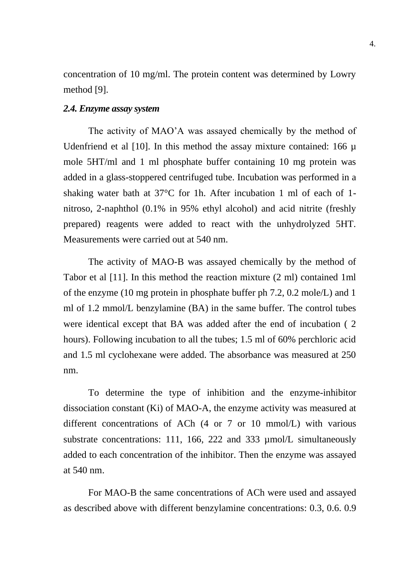concentration of 10 mg/ml. The protein content was determined by Lowry method [9].

#### *2.4. Enzyme assay system*

The activity of MAO'A was assayed chemically by the method of Udenfriend et al [10]. In this method the assay mixture contained: 166 µ mole 5HT/ml and 1 ml phosphate buffer containing 10 mg protein was added in a glass-stoppered centrifuged tube. Incubation was performed in a shaking water bath at 37°C for 1h. After incubation 1 ml of each of 1 nitroso, 2-naphthol (0.1% in 95% ethyl alcohol) and acid nitrite (freshly prepared) reagents were added to react with the unhydrolyzed 5HT. Measurements were carried out at 540 nm.

The activity of MAO-B was assayed chemically by the method of Tabor et al [11]. In this method the reaction mixture (2 ml) contained 1ml of the enzyme (10 mg protein in phosphate buffer ph 7.2, 0.2 mole/L) and 1 ml of 1.2 mmol/L benzylamine (BA) in the same buffer. The control tubes were identical except that BA was added after the end of incubation ( 2 hours). Following incubation to all the tubes; 1.5 ml of 60% perchloric acid and 1.5 ml cyclohexane were added. The absorbance was measured at 250 nm.

To determine the type of inhibition and the enzyme-inhibitor dissociation constant (Ki) of MAO-A, the enzyme activity was measured at different concentrations of ACh (4 or 7 or 10 mmol/L) with various substrate concentrations: 111, 166, 222 and 333  $\mu$ mol/L simultaneously added to each concentration of the inhibitor. Then the enzyme was assayed at 540 nm.

For MAO-B the same concentrations of ACh were used and assayed as described above with different benzylamine concentrations: 0.3, 0.6. 0.9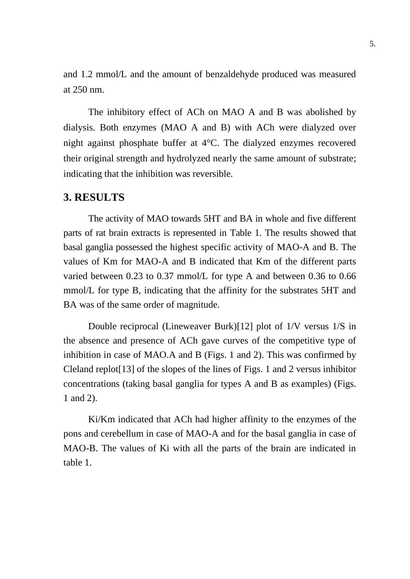and 1.2 mmol/L and the amount of benzaldehyde produced was measured at 250 nm.

The inhibitory effect of ACh on MAO A and B was abolished by dialysis. Both enzymes (MAO A and B) with ACh were dialyzed over night against phosphate buffer at 4°C. The dialyzed enzymes recovered their original strength and hydrolyzed nearly the same amount of substrate; indicating that the inhibition was reversible.

### **3. RESULTS**

The activity of MAO towards 5HT and BA in whole and five different parts of rat brain extracts is represented in Table 1. The results showed that basal ganglia possessed the highest specific activity of MAO-A and B. The values of Km for MAO-A and B indicated that Km of the different parts varied between 0.23 to 0.37 mmol/L for type A and between 0.36 to 0.66 mmol/L for type B, indicating that the affinity for the substrates 5HT and BA was of the same order of magnitude.

Double reciprocal (Lineweaver Burk)[12] plot of 1/V versus 1/S in the absence and presence of ACh gave curves of the competitive type of inhibition in case of MAO.A and B (Figs. 1 and 2). This was confirmed by Cleland replot[13] of the slopes of the lines of Figs. 1 and 2 versus inhibitor concentrations (taking basal ganglia for types A and B as examples) (Figs. 1 and 2).

Ki/Km indicated that ACh had higher affinity to the enzymes of the pons and cerebellum in case of MAO-A and for the basal ganglia in case of MAO-B. The values of Ki with all the parts of the brain are indicated in table 1.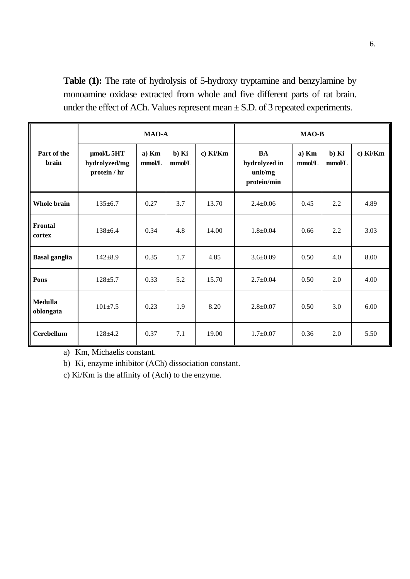Table (1): The rate of hydrolysis of 5-hydroxy tryptamine and benzylamine by monoamine oxidase extracted from whole and five different parts of rat brain. under the effect of ACh. Values represent mean  $\pm$  S.D. of 3 repeated experiments.

|                      | <b>MAO-A</b>                                     |                 |                 |          | <b>MAO-B</b>                                         |                 |                 |          |
|----------------------|--------------------------------------------------|-----------------|-----------------|----------|------------------------------------------------------|-----------------|-----------------|----------|
| Part of the<br>brain | $\mu$ mol/L 5HT<br>hydrolyzed/mg<br>protein / hr | a) Km<br>mmol/L | b) Ki<br>mmol/L | c) Ki/Km | <b>BA</b><br>hydrolyzed in<br>unit/mg<br>protein/min | a) Km<br>mmol/L | b) Ki<br>mmol/L | c) Ki/Km |
| Whole brain          | $135 \pm 6.7$                                    | 0.27            | 3.7             | 13.70    | $2.4 \pm 0.06$                                       | 0.45            | 2.2             | 4.89     |
| Frontal<br>cortex    | $138 \pm 6.4$                                    | 0.34            | 4.8             | 14.00    | $1.8 + 0.04$                                         | 0.66            | 2.2             | 3.03     |
| <b>Basal ganglia</b> | $142 \pm 8.9$                                    | 0.35            | 1.7             | 4.85     | $3.6 \pm 0.09$                                       | 0.50            | 4.0             | 8.00     |
| Pons                 | $128 + 5.7$                                      | 0.33            | 5.2             | 15.70    | $2.7 \pm 0.04$                                       | 0.50            | 2.0             | 4.00     |
| Medulla<br>oblongata | $101 \pm 7.5$                                    | 0.23            | 1.9             | 8.20     | $2.8 \pm 0.07$                                       | 0.50            | 3.0             | 6.00     |
| <b>Cerebellum</b>    | $128 + 4.2$                                      | 0.37            | 7.1             | 19.00    | $1.7 \pm 0.07$                                       | 0.36            | 2.0             | 5.50     |

a) Km, Michaelis constant.

b) Ki, enzyme inhibitor (ACh) dissociation constant.

c) Ki/Km is the affinity of (Ach) to the enzyme.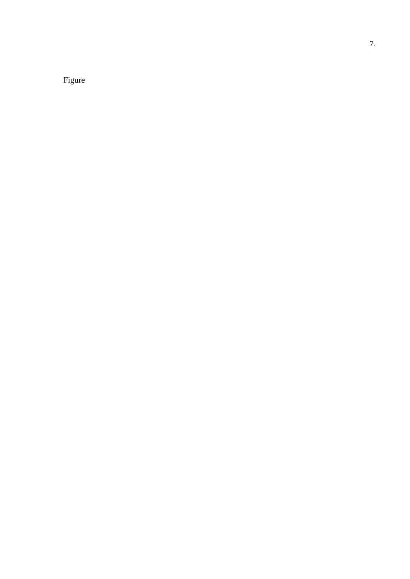Figure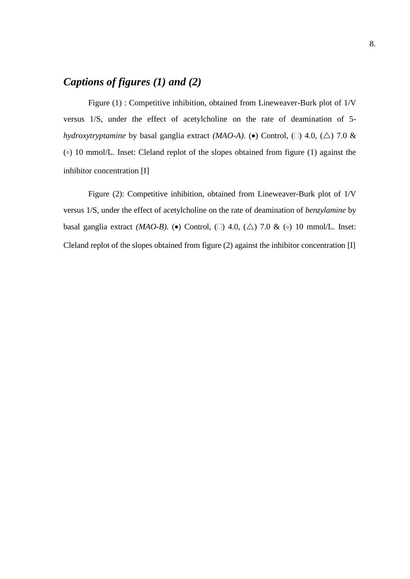## *Captions of figures (1) and (2)*

Figure (1) : Competitive inhibition, obtained from Lineweaver-Burk plot of 1/V versus 1/S, under the effect of acetylcholine on the rate of deamination of 5 *hydroxytryptamine* by basal ganglia extract *(MAO-A)*. (•) Control, ( $\Box$ ) 4.0, ( $\triangle$ ) 7.0 & ( ) 10 mmol/L. Inset: Cleland replot of the slopes obtained from figure (1) against the inhibitor concentration [I]

Figure (2): Competitive inhibition, obtained from Lineweaver-Burk plot of 1/V versus 1/S, under the effect of acetylcholine on the rate of deamination of *benzylamine* by basal ganglia extract *(MAO-B)*. ( $\bullet$ ) Control, ( $\Box$ ) 4.0, ( $\triangle$ ) 7.0 & ( $\circ$ ) 10 mmol/L. Inset: Cleland replot of the slopes obtained from figure (2) against the inhibitor concentration [I]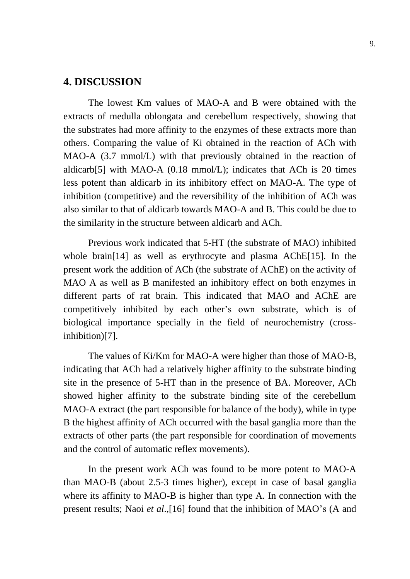### **4. DISCUSSION**

The lowest Km values of MAO-A and B were obtained with the extracts of medulla oblongata and cerebellum respectively, showing that the substrates had more affinity to the enzymes of these extracts more than others. Comparing the value of Ki obtained in the reaction of ACh with MAO-A (3.7 mmol/L) with that previously obtained in the reaction of aldicarb[5] with MAO-A (0.18 mmol/L); indicates that ACh is 20 times less potent than aldicarb in its inhibitory effect on MAO-A. The type of inhibition (competitive) and the reversibility of the inhibition of ACh was also similar to that of aldicarb towards MAO-A and B. This could be due to the similarity in the structure between aldicarb and ACh.

Previous work indicated that 5-HT (the substrate of MAO) inhibited whole brain[14] as well as erythrocyte and plasma AChE[15]. In the present work the addition of ACh (the substrate of AChE) on the activity of MAO A as well as B manifested an inhibitory effect on both enzymes in different parts of rat brain. This indicated that MAO and AChE are competitively inhibited by each other's own substrate, which is of biological importance specially in the field of neurochemistry (crossinhibition)[7].

The values of Ki/Km for MAO-A were higher than those of MAO-B, indicating that ACh had a relatively higher affinity to the substrate binding site in the presence of 5-HT than in the presence of BA. Moreover, ACh showed higher affinity to the substrate binding site of the cerebellum MAO-A extract (the part responsible for balance of the body), while in type B the highest affinity of ACh occurred with the basal ganglia more than the extracts of other parts (the part responsible for coordination of movements and the control of automatic reflex movements).

In the present work ACh was found to be more potent to MAO-A than MAO-B (about 2.5-3 times higher), except in case of basal ganglia where its affinity to MAO-B is higher than type A. In connection with the present results; Naoi *et al*.,[16] found that the inhibition of MAO's (A and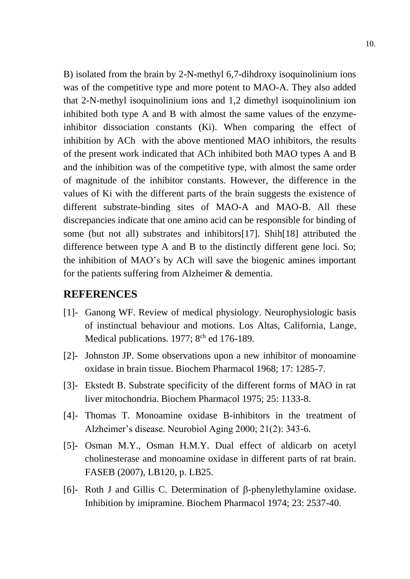B) isolated from the brain by 2-N-methyl 6,7-dihdroxy isoquinolinium ions was of the competitive type and more potent to MAO-A. They also added that 2-N-methyl isoquinolinium ions and 1,2 dimethyl isoquinolinium ion inhibited both type A and B with almost the same values of the enzymeinhibitor dissociation constants (Ki). When comparing the effect of inhibition by ACh with the above mentioned MAO inhibitors, the results of the present work indicated that ACh inhibited both MAO types A and B and the inhibition was of the competitive type, with almost the same order of magnitude of the inhibitor constants. However, the difference in the values of Ki with the different parts of the brain suggests the existence of different substrate-binding sites of MAO-A and MAO-B. All these discrepancies indicate that one amino acid can be responsible for binding of some (but not all) substrates and inhibitors[17]. Shih[18] attributed the difference between type A and B to the distinctly different gene loci. So; the inhibition of MAO's by ACh will save the biogenic amines important for the patients suffering from Alzheimer & dementia.

### **REFERENCES**

- [1]- Ganong WF. Review of medical physiology. Neurophysiologic basis of instinctual behaviour and motions. Los Altas, California, Lange, Medical publications. 1977; 8<sup>ch</sup> ed 176-189.
- [2]- Johnston JP. Some observations upon a new inhibitor of monoamine oxidase in brain tissue. Biochem Pharmacol 1968; 17: 1285-7.
- [3]- Ekstedt B. Substrate specificity of the different forms of MAO in rat liver mitochondria. Biochem Pharmacol 1975; 25: 1133-8.
- [4]- Thomas T. Monoamine oxidase B-inhibitors in the treatment of Alzheimer's disease. Neurobiol Aging 2000; 21(2): 343-6.
- [5]- Osman M.Y., Osman H.M.Y. Dual effect of aldicarb on acetyl cholinesterase and monoamine oxidase in different parts of rat brain. FASEB (2007), LB120, p. LB25.
- [6]- Roth J and Gillis C. Determination of  $\beta$ -phenylethylamine oxidase. Inhibition by imipramine. Biochem Pharmacol 1974; 23: 2537-40.